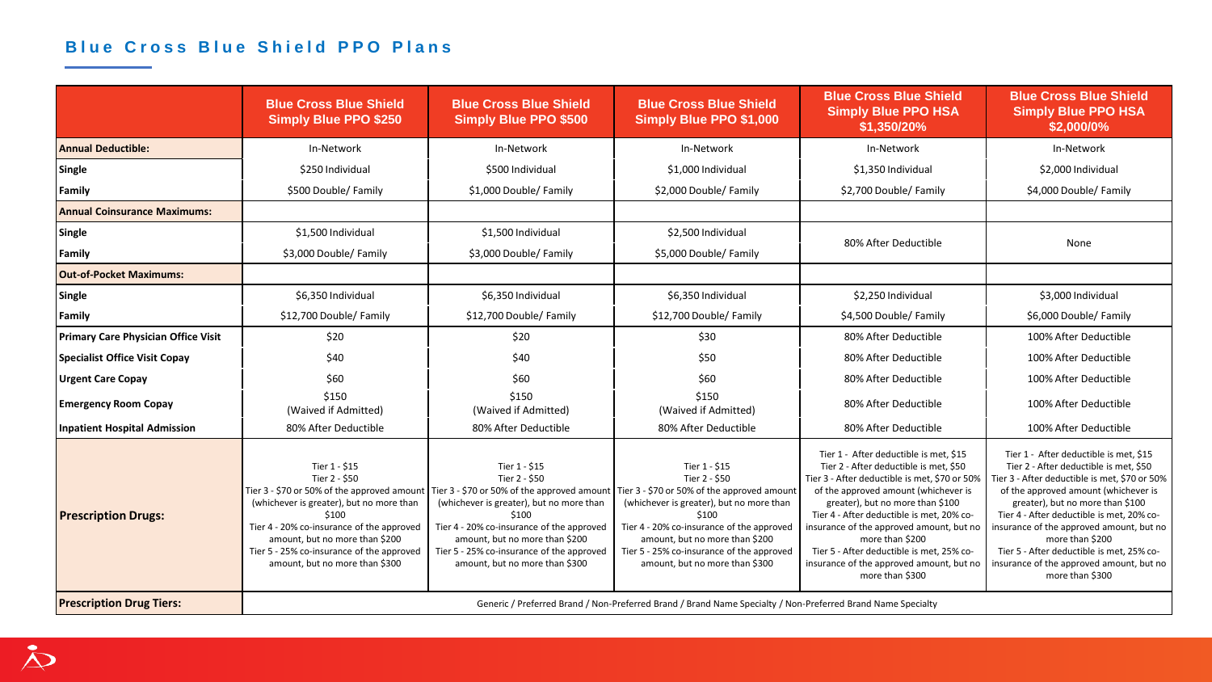## **Blue Cross Blue Shield PPO Plans**

|                                            | <b>Blue Cross Blue Shield</b><br><b>Simply Blue PPO \$250</b>                                                                                                                                                                                                                                    | <b>Blue Cross Blue Shield</b><br><b>Simply Blue PPO \$500</b>                                                                                                                                                                                                                                                                                  | <b>Blue Cross Blue Shield</b><br>Simply Blue PPO \$1,000                                                                                                                                                                                          | <b>Blue Cross Blue Shield</b><br><b>Simply Blue PPO HSA</b><br>\$1,350/20%                                                                                                                                                                                                                                                                                                                                                            | <b>Blue Cross Blue Shield</b><br><b>Simply Blue PPO HSA</b><br>\$2,000/0%                                                                                                                                                                                                                                                                                                                                                             |  |
|--------------------------------------------|--------------------------------------------------------------------------------------------------------------------------------------------------------------------------------------------------------------------------------------------------------------------------------------------------|------------------------------------------------------------------------------------------------------------------------------------------------------------------------------------------------------------------------------------------------------------------------------------------------------------------------------------------------|---------------------------------------------------------------------------------------------------------------------------------------------------------------------------------------------------------------------------------------------------|---------------------------------------------------------------------------------------------------------------------------------------------------------------------------------------------------------------------------------------------------------------------------------------------------------------------------------------------------------------------------------------------------------------------------------------|---------------------------------------------------------------------------------------------------------------------------------------------------------------------------------------------------------------------------------------------------------------------------------------------------------------------------------------------------------------------------------------------------------------------------------------|--|
| Annual Deductible:                         | In-Network                                                                                                                                                                                                                                                                                       | In-Network                                                                                                                                                                                                                                                                                                                                     | In-Network                                                                                                                                                                                                                                        | In-Network                                                                                                                                                                                                                                                                                                                                                                                                                            | In-Network                                                                                                                                                                                                                                                                                                                                                                                                                            |  |
| Single                                     | \$250 Individual                                                                                                                                                                                                                                                                                 | \$500 Individual                                                                                                                                                                                                                                                                                                                               | \$1,000 Individual                                                                                                                                                                                                                                | \$1,350 Individual                                                                                                                                                                                                                                                                                                                                                                                                                    | \$2,000 Individual                                                                                                                                                                                                                                                                                                                                                                                                                    |  |
| Family                                     | \$500 Double/ Family                                                                                                                                                                                                                                                                             | \$1,000 Double/ Family                                                                                                                                                                                                                                                                                                                         | \$2,000 Double/ Family                                                                                                                                                                                                                            | \$2,700 Double/ Family                                                                                                                                                                                                                                                                                                                                                                                                                | \$4,000 Double/ Family                                                                                                                                                                                                                                                                                                                                                                                                                |  |
| <b>Annual Coinsurance Maximums:</b>        |                                                                                                                                                                                                                                                                                                  |                                                                                                                                                                                                                                                                                                                                                |                                                                                                                                                                                                                                                   |                                                                                                                                                                                                                                                                                                                                                                                                                                       |                                                                                                                                                                                                                                                                                                                                                                                                                                       |  |
| Single                                     | \$1,500 Individual                                                                                                                                                                                                                                                                               | \$1,500 Individual                                                                                                                                                                                                                                                                                                                             | \$2,500 Individual                                                                                                                                                                                                                                | 80% After Deductible                                                                                                                                                                                                                                                                                                                                                                                                                  | None                                                                                                                                                                                                                                                                                                                                                                                                                                  |  |
| <b>Family</b>                              | \$3,000 Double/ Family                                                                                                                                                                                                                                                                           | \$3,000 Double/ Family                                                                                                                                                                                                                                                                                                                         | \$5,000 Double/ Family                                                                                                                                                                                                                            |                                                                                                                                                                                                                                                                                                                                                                                                                                       |                                                                                                                                                                                                                                                                                                                                                                                                                                       |  |
| <b>Out-of-Pocket Maximums:</b>             |                                                                                                                                                                                                                                                                                                  |                                                                                                                                                                                                                                                                                                                                                |                                                                                                                                                                                                                                                   |                                                                                                                                                                                                                                                                                                                                                                                                                                       |                                                                                                                                                                                                                                                                                                                                                                                                                                       |  |
| Single                                     | \$6,350 Individual                                                                                                                                                                                                                                                                               | \$6,350 Individual                                                                                                                                                                                                                                                                                                                             | \$6,350 Individual                                                                                                                                                                                                                                | \$2,250 Individual                                                                                                                                                                                                                                                                                                                                                                                                                    | \$3,000 Individual                                                                                                                                                                                                                                                                                                                                                                                                                    |  |
| Family                                     | \$12,700 Double/ Family                                                                                                                                                                                                                                                                          | \$12,700 Double/ Family                                                                                                                                                                                                                                                                                                                        | \$12,700 Double/ Family                                                                                                                                                                                                                           | \$4,500 Double/ Family                                                                                                                                                                                                                                                                                                                                                                                                                | \$6,000 Double/ Family                                                                                                                                                                                                                                                                                                                                                                                                                |  |
| <b>Primary Care Physician Office Visit</b> | \$20                                                                                                                                                                                                                                                                                             | \$20                                                                                                                                                                                                                                                                                                                                           | \$30                                                                                                                                                                                                                                              | 80% After Deductible                                                                                                                                                                                                                                                                                                                                                                                                                  | 100% After Deductible                                                                                                                                                                                                                                                                                                                                                                                                                 |  |
| Specialist Office Visit Copay              | \$40                                                                                                                                                                                                                                                                                             | \$40                                                                                                                                                                                                                                                                                                                                           | \$50                                                                                                                                                                                                                                              | 80% After Deductible                                                                                                                                                                                                                                                                                                                                                                                                                  | 100% After Deductible                                                                                                                                                                                                                                                                                                                                                                                                                 |  |
| <b>Urgent Care Copay</b>                   | \$60                                                                                                                                                                                                                                                                                             | \$60                                                                                                                                                                                                                                                                                                                                           | \$60                                                                                                                                                                                                                                              | 80% After Deductible                                                                                                                                                                                                                                                                                                                                                                                                                  | 100% After Deductible                                                                                                                                                                                                                                                                                                                                                                                                                 |  |
| <b>Emergency Room Copay</b>                | \$150<br>(Waived if Admitted)                                                                                                                                                                                                                                                                    | \$150<br>(Waived if Admitted)                                                                                                                                                                                                                                                                                                                  | \$150<br>(Waived if Admitted)                                                                                                                                                                                                                     | 80% After Deductible                                                                                                                                                                                                                                                                                                                                                                                                                  | 100% After Deductible                                                                                                                                                                                                                                                                                                                                                                                                                 |  |
| Inpatient Hospital Admission               | 80% After Deductible                                                                                                                                                                                                                                                                             | 80% After Deductible                                                                                                                                                                                                                                                                                                                           | 80% After Deductible                                                                                                                                                                                                                              | 80% After Deductible                                                                                                                                                                                                                                                                                                                                                                                                                  | 100% After Deductible                                                                                                                                                                                                                                                                                                                                                                                                                 |  |
| <b>Prescription Drugs:</b>                 | Tier 1 - \$15<br>Tier 2 - \$50<br>Tier 3 - \$70 or 50% of the approved amount<br>(whichever is greater), but no more than<br>\$100<br>Tier 4 - 20% co-insurance of the approved<br>amount, but no more than \$200<br>Tier 5 - 25% co-insurance of the approved<br>amount, but no more than \$300 | Tier 1 - \$15<br>Tier 2 - \$50<br>Tier 3 - \$70 or 50% of the approved amount   Tier 3 - \$70 or 50% of the approved amount<br>(whichever is greater), but no more than<br>\$100<br>Tier 4 - 20% co-insurance of the approved<br>amount, but no more than \$200<br>Tier 5 - 25% co-insurance of the approved<br>amount, but no more than \$300 | Tier 1 - \$15<br>Tier 2 - \$50<br>(whichever is greater), but no more than<br>\$100<br>Tier 4 - 20% co-insurance of the approved<br>amount, but no more than \$200<br>Tier 5 - 25% co-insurance of the approved<br>amount, but no more than \$300 | Tier 1 - After deductible is met, \$15<br>Tier 2 - After deductible is met, \$50<br>Tier 3 - After deductible is met, \$70 or 50%<br>of the approved amount (whichever is<br>greater), but no more than \$100<br>Tier 4 - After deductible is met, 20% co-<br>insurance of the approved amount, but no<br>more than \$200<br>Tier 5 - After deductible is met, 25% co-<br>insurance of the approved amount, but no<br>more than \$300 | Tier 1 - After deductible is met, \$15<br>Tier 2 - After deductible is met, \$50<br>Tier 3 - After deductible is met, \$70 or 50%<br>of the approved amount (whichever is<br>greater), but no more than \$100<br>Tier 4 - After deductible is met, 20% co-<br>insurance of the approved amount, but no<br>more than \$200<br>Tier 5 - After deductible is met, 25% co-<br>insurance of the approved amount, but no<br>more than \$300 |  |
| <b>Prescription Drug Tiers:</b>            | Generic / Preferred Brand / Non-Preferred Brand / Brand Name Specialty / Non-Preferred Brand Name Specialty                                                                                                                                                                                      |                                                                                                                                                                                                                                                                                                                                                |                                                                                                                                                                                                                                                   |                                                                                                                                                                                                                                                                                                                                                                                                                                       |                                                                                                                                                                                                                                                                                                                                                                                                                                       |  |